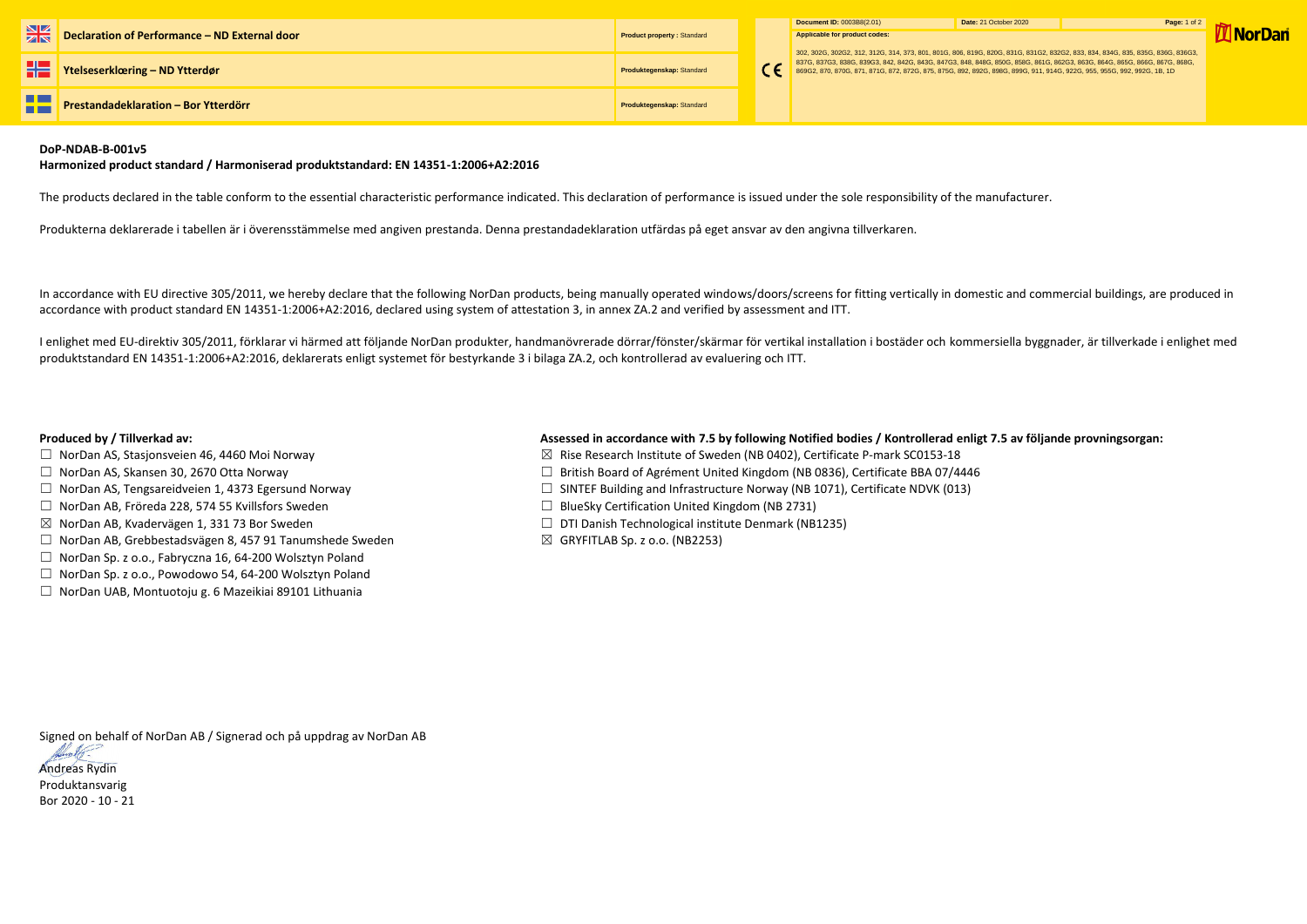|    | <b>Declaration of Performance - ND External door</b> | <b>Product property: Standard</b> |  | Document ID: 0003B8(2.01)                                                                                                                                                                                                                                                                                                                                                                         | Date: 21 October 2020 | Page: 1 of 2 |
|----|------------------------------------------------------|-----------------------------------|--|---------------------------------------------------------------------------------------------------------------------------------------------------------------------------------------------------------------------------------------------------------------------------------------------------------------------------------------------------------------------------------------------------|-----------------------|--------------|
|    |                                                      |                                   |  | Applicable for product codes:<br>302, 302G, 302G2, 312, 312G, 314, 373, 801, 801G, 806, 819G, 820G, 831G, 831G2, 832G2, 833, 834, 834G, 835, 835G, 836G, 836G3,<br>837G, 837G3, 838G, 839G3, 842G, 842G, 843G, 847G3, 848G, 848G, 858G, 861G, 862G3, 863G, 864G, 865G, 866G, 867G, 868G, 867G, 868G, 867G, 868G, 867G, 868G, 867G, 868G, 867G, 868G, 867G, 871, 871G, 872, 872G, 875, 875G, 892G, |                       |              |
|    | <b>THE Ytelseserklæring – ND Ytterdør</b>            | Produktegenskap: Standard         |  |                                                                                                                                                                                                                                                                                                                                                                                                   |                       |              |
| H. | Prestandadeklaration - Bor Ytterdörr                 | <b>Produktegenskap: Standard</b>  |  |                                                                                                                                                                                                                                                                                                                                                                                                   |                       |              |

# **DoP-NDAB-B-001v5**

## **Harmonized product standard / Harmoniserad produktstandard: EN 14351-1:2006+A2:2016**

The products declared in the table conform to the essential characteristic performance indicated. This declaration of performance is issued under the sole responsibility of the manufacturer.

Produkterna deklarerade i tabellen är i överensstämmelse med angiven prestanda. Denna prestandadeklaration utfärdas på eget ansvar av den angivna tillverkaren.

- □ NorDan AS, Stasjonsveien 46, 4460 Moi Norway 3. The State Research Institute of Sweden (NB 0402), Certificate P-mark SC0153-18
- ☐ NorDan AS, Skansen 30, 2670 Otta Norway ☐ British Board of Agrément United Kingdom (NB 0836), Certificate BBA 07/4446
- ☐ NorDan AS, Tengsareidveien 1, 4373 Egersund Norway ☐ SINTEF Building and Infrastructure Norway (NB 1071), Certificate NDVK (013)
	-
- ☒ NorDan AB, Kvadervägen 1, 331 73 Bor Sweden ☐ DTI Danish Technological institute Denmark (NB1235)
	-

In accordance with EU directive 305/2011, we hereby declare that the following NorDan products, being manually operated windows/doors/screens for fitting vertically in domestic and commercial buildings, are produced in accordance with product standard EN 14351-1:2006+A2:2016, declared using system of attestation 3, in annex ZA.2 and verified by assessment and ITT.

I enlighet med EU-direktiv 305/2011, förklarar vi härmed att följande NorDan produkter, handmanövrerade dörrar/fönster/skärmar för vertikal installation i bostäder och kommersiella byggnader, är tillverkade i enlighet med produktstandard EN 14351-1:2006+A2:2016, deklarerats enligt systemet för bestyrkande 3 i bilaga ZA.2, och kontrollerad av evaluering och ITT.

# **Produced by / Tillverkad av: Assessed in accordance with 7.5 by following Notified bodies / Kontrollerad enligt 7.5 av följande provningsorgan:**

- 
- 
- 
- ☐ NorDan AB, Fröreda 228, 574 55 Kvillsfors Sweden ☐ BlueSky Certification United Kingdom (NB 2731)
- 
- ☐ NorDan AB, Grebbestadsvägen 8, 457 91 Tanumshede Sweden ☒ GRYFITLAB Sp. z o.o. (NB2253)
- ☐ NorDan Sp. z o.o., Fabryczna 16, 64-200 Wolsztyn Poland
- ☐ NorDan Sp. z o.o., Powodowo 54, 64-200 Wolsztyn Poland
- ☐ NorDan UAB, Montuotoju g. 6 Mazeikiai 89101 Lithuania

Signed on behalf of NorDan AB / Signerad och på uppdrag av NorDan AB



Produktansvarig Bor 2020 - 10 - 21